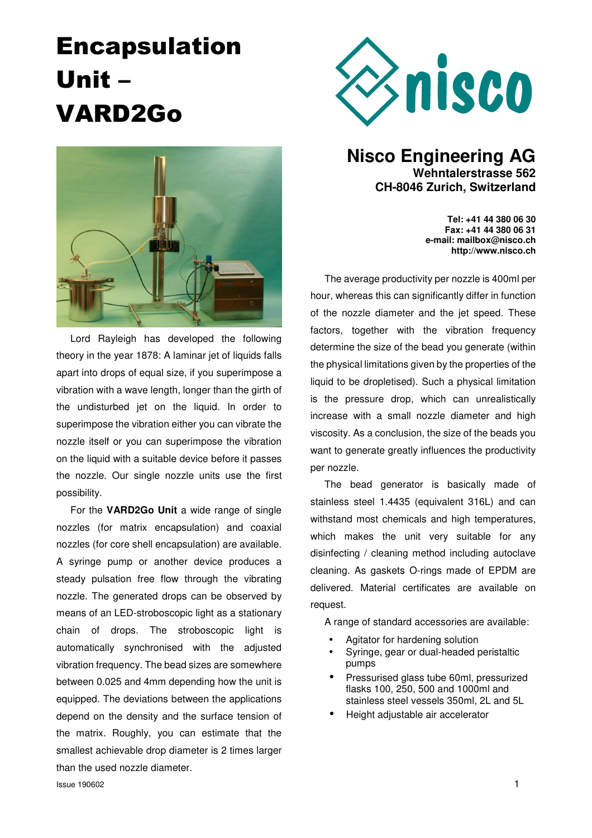# Encapsulation Unit – VARD2Go



Lord Rayleigh has developed the following theory in the year 1878: A laminar jet of liquids falls apart into drops of equal size, if you superimpose a vibration with a wave length, longer than the girth of the undisturbed jet on the liquid. In order to superimpose the vibration either you can vibrate the nozzle itself or you can superimpose the vibration on the liquid with a suitable device before it passes the nozzle. Our single nozzle units use the first possibility.

For the **VARD2Go Unit** a wide range of single nozzles (for matrix encapsulation) and coaxial nozzles (for core shell encapsulation) are available. A syringe pump or another device produces a steady pulsation free flow through the vibrating nozzle. The generated drops can be observed by means of an LED-stroboscopic light as a stationary chain of drops. The stroboscopic light is automatically synchronised with the adjusted vibration frequency. The bead sizes are somewhere between 0.025 and 4mm depending how the unit is equipped. The deviations between the applications depend on the density and the surface tension of the matrix. Roughly, you can estimate that the smallest achievable drop diameter is 2 times larger than the used nozzle diameter.



### **Nisco Engineering AG Wehntalerstrasse 562 CH-8046 Zurich, Switzerland**

**Tel: +41 44 380 06 30 Fax: +41 44 380 06 31 e-mail: mailbox@nisco.ch http://www.nisco.ch**

The average productivity per nozzle is 400ml per hour, whereas this can significantly differ in function of the nozzle diameter and the jet speed. These factors, together with the vibration frequency determine the size of the bead you generate (within the physical limitations given by the properties of the liquid to be dropletised). Such a physical limitation is the pressure drop, which can unrealistically increase with a small nozzle diameter and high viscosity. As a conclusion, the size of the beads you want to generate greatly influences the productivity per nozzle.

The bead generator is basically made of stainless steel 1.4435 (equivalent 316L) and can withstand most chemicals and high temperatures, which makes the unit very suitable for any disinfecting / cleaning method including autoclave cleaning. As gaskets O-rings made of EPDM are delivered. Material certificates are available on request.

A range of standard accessories are available:

- Agitator for hardening solution
- Syringe, gear or dual-headed peristaltic pumps
- Pressurised glass tube 60ml, pressurized flasks 100, 250, 500 and 1000ml and stainless steel vessels 350ml, 2L and 5L
- Height adjustable air accelerator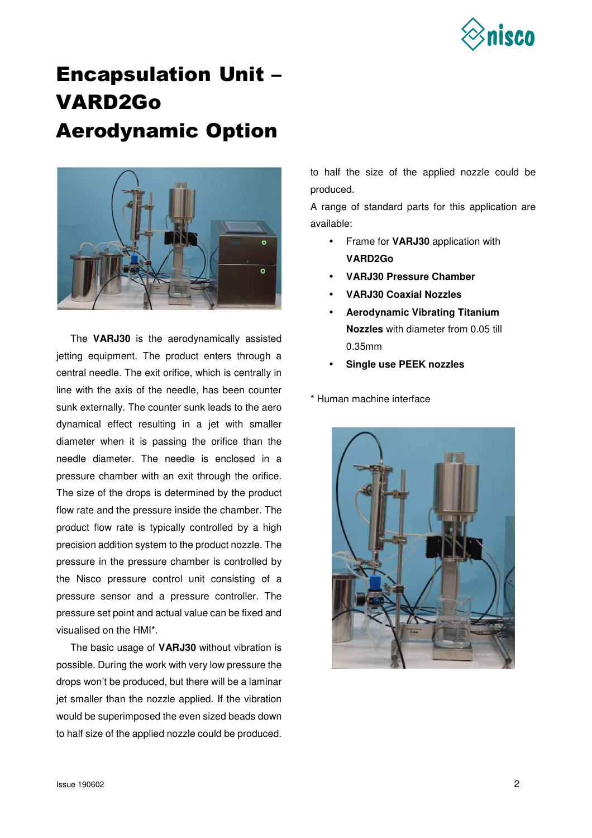

### Encapsulation Unit – VARD2Go Aerodynamic Option



The **VARJ30** is the aerodynamically assisted jetting equipment. The product enters through a central needle. The exit orifice, which is centrally in line with the axis of the needle, has been counter sunk externally. The counter sunk leads to the aero dynamical effect resulting in a jet with smaller diameter when it is passing the orifice than the needle diameter. The needle is enclosed in a pressure chamber with an exit through the orifice. The size of the drops is determined by the product flow rate and the pressure inside the chamber. The product flow rate is typically controlled by a high precision addition system to the product nozzle. The pressure in the pressure chamber is controlled by the Nisco pressure control unit consisting of a pressure sensor and a pressure controller. The pressure set point and actual value can be fixed and visualised on the HMI\*.

The basic usage of **VARJ30** without vibration is possible. During the work with very low pressure the drops won't be produced, but there will be a laminar jet smaller than the nozzle applied. If the vibration would be superimposed the even sized beads down to half size of the applied nozzle could be produced.

to half the size of the applied nozzle could be produced.

A range of standard parts for this application are available:

- Frame for **VARJ30** application with **VARD2Go**
- **VARJ30 Pressure Chamber**
- **VARJ30 Coaxial Nozzles**
- **Aerodynamic Vibrating Titanium Nozzles** with diameter from 0.05 till 0.35mm
- **Single use PEEK nozzles**

\* Human machine interface

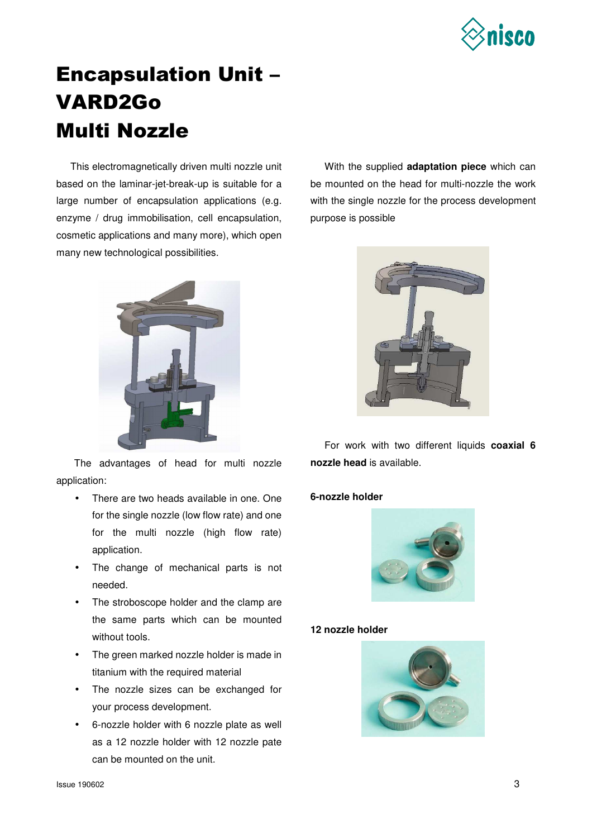

## Encapsulation Unit – VARD2Go Multi Nozzle

This electromagnetically driven multi nozzle unit based on the laminar-jet-break-up is suitable for a large number of encapsulation applications (e.g. enzyme / drug immobilisation, cell encapsulation, cosmetic applications and many more), which open many new technological possibilities.



The advantages of head for multi nozzle application:

- There are two heads available in one. One for the single nozzle (low flow rate) and one for the multi nozzle (high flow rate) application.
- The change of mechanical parts is not needed.
- The stroboscope holder and the clamp are the same parts which can be mounted without tools.
- The green marked nozzle holder is made in titanium with the required material
- The nozzle sizes can be exchanged for your process development.
- 6-nozzle holder with 6 nozzle plate as well as a 12 nozzle holder with 12 nozzle pate can be mounted on the unit.

With the supplied **adaptation piece** which can be mounted on the head for multi-nozzle the work with the single nozzle for the process development purpose is possible



For work with two different liquids **coaxial 6 nozzle head** is available.

#### **6-nozzle holder**



#### **12 nozzle holder**